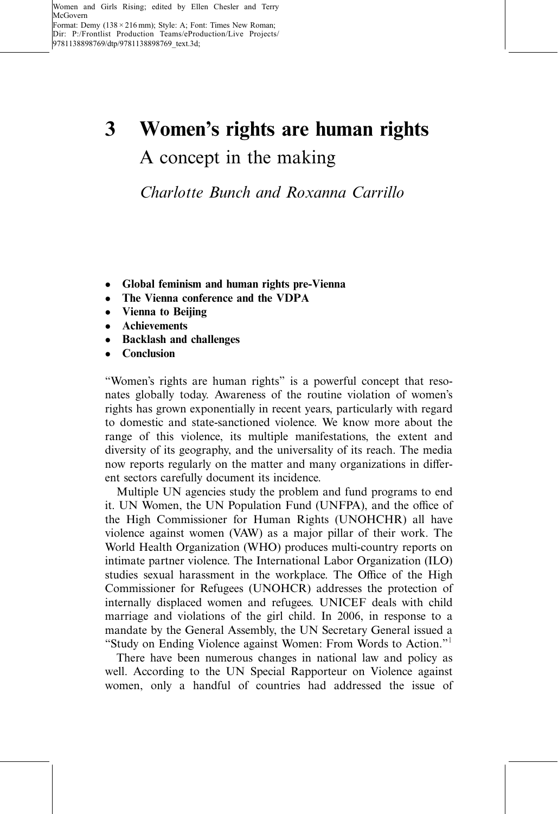<span id="page-0-0"></span>Format: Demy (138 × 216 mm); Style: A; Font: Times New Roman; Dir: P:/Frontlist Production Teams/eProduction/Live Projects/ 9781138898769/dtp/9781138898769\_text.3d;

# 3 Women's rights are human rights A concept in the making

Charlotte Bunch and Roxanna Carrillo

- Global feminism and human rights pre-Vienna
- The Vienna conference and the VDPA
- Vienna to Beijing
- Achievements
- Backlash and challenges
- Conclusion

"Women's rights are human rights" is a powerful concept that resonates globally today. Awareness of the routine violation of women's rights has grown exponentially in recent years, particularly with regard to domestic and state-sanctioned violence. We know more about the range of this violence, its multiple manifestations, the extent and diversity of its geography, and the universality of its reach. The media now reports regularly on the matter and many organizations in different sectors carefully document its incidence.

Multiple UN agencies study the problem and fund programs to end it. UN Women, the UN Population Fund (UNFPA), and the office of the High Commissioner for Human Rights (UNOHCHR) all have violence against women (VAW) as a major pillar of their work. The World Health Organization (WHO) produces multi-country reports on intimate partner violence. The International Labor Organization (ILO) studies sexual harassment in the workplace. The Office of the High Commissioner for Refugees (UNOHCR) addresses the protection of internally displaced women and refugees. UNICEF deals with child marriage and violations of the girl child. In 2006, in response to a mandate by the General Assembly, the UN Secretary General issued a "Study on Ending Violence against Women: From Words to Action."[1](#page-16-0)

There have been numerous changes in national law and policy as well. According to the UN Special Rapporteur on Violence against women, only a handful of countries had addressed the issue of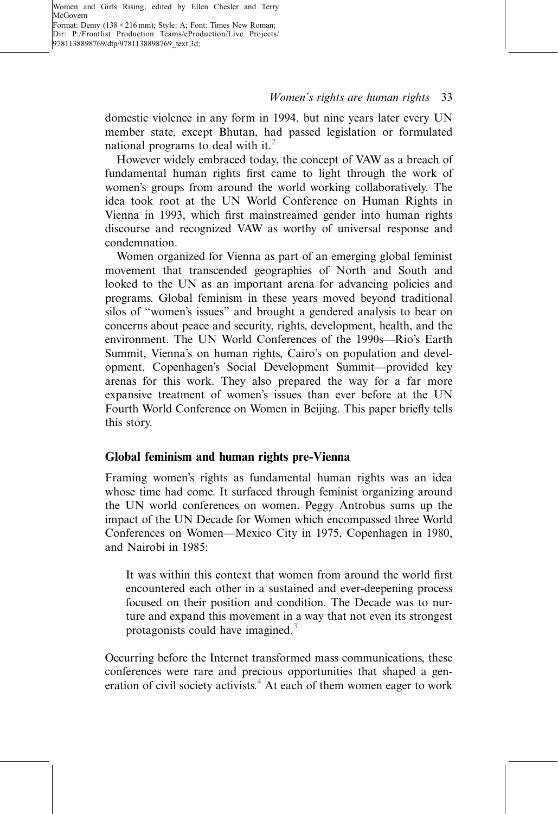<span id="page-1-0"></span>Format: Demy (138 × 216 mm); Style: A; Font: Times New Roman; Dir: P:/Frontlist Production Teams/eProduction/Live Projects/ 9781138898769/dtp/9781138898769\_text.3d;

## Women's rights are human rights 33

domestic violence in any form in 1994, but nine years later every UN member state, except Bhutan, had passed legislation or formulated national programs to deal with it. $<sup>2</sup>$  $<sup>2</sup>$  $<sup>2</sup>$ </sup>

However widely embraced today, the concept of VAW as a breach of fundamental human rights first came to light through the work of women's groups from around the world working collaboratively. The idea took root at the UN World Conference on Human Rights in Vienna in 1993, which first mainstreamed gender into human rights discourse and recognized VAW as worthy of universal response and condemnation.

Women organized for Vienna as part of an emerging global feminist movement that transcended geographies of North and South and looked to the UN as an important arena for advancing policies and programs. Global feminism in these years moved beyond traditional silos of "women's issues" and brought a gendered analysis to bear on concerns about peace and security, rights, development, health, and the environment. The UN World Conferences of the 1990s—Rio's Earth Summit, Vienna's on human rights, Cairo's on population and development, Copenhagen's Social Development Summit—provided key arenas for this work. They also prepared the way for a far more expansive treatment of women's issues than ever before at the UN Fourth World Conference on Women in Beijing. This paper briefly tells this story.

# Global feminism and human rights pre-Vienna

Framing women's rights as fundamental human rights was an idea whose time had come. It surfaced through feminist organizing around the UN world conferences on women. Peggy Antrobus sums up the impact of the UN Decade for Women which encompassed three World Conferences on Women—Mexico City in 1975, Copenhagen in 1980, and Nairobi in 1985:

It was within this context that women from around the world first encountered each other in a sustained and ever-deepening process focused on their position and condition. The Decade was to nurture and expand this movement in a way that not even its strongest protagonists could have imagined.<sup>[3](#page-16-0)</sup>

Occurring before the Internet transformed mass communications, these conferences were rare and precious opportunities that shaped a generation of civil society activists.<sup>4</sup> At each of them women eager to work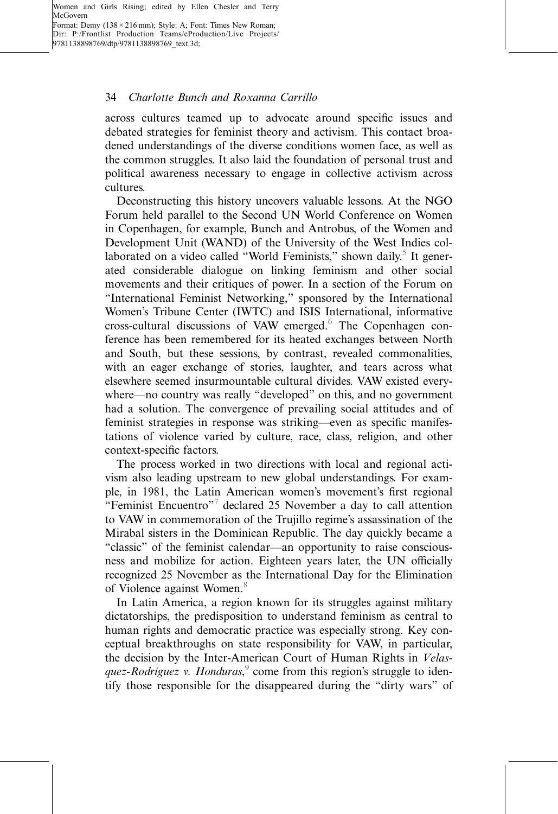<span id="page-2-0"></span>Format: Demy (138 × 216 mm); Style: A; Font: Times New Roman; Dir: P:/Frontlist Production Teams/eProduction/Live Projects/ 9781138898769/dtp/9781138898769\_text.3d;

# 34 Charlotte Bunch and Roxanna Carrillo

across cultures teamed up to advocate around specific issues and debated strategies for feminist theory and activism. This contact broadened understandings of the diverse conditions women face, as well as the common struggles. It also laid the foundation of personal trust and political awareness necessary to engage in collective activism across cultures.

Deconstructing this history uncovers valuable lessons. At the NGO Forum held parallel to the Second UN World Conference on Women in Copenhagen, for example, Bunch and Antrobus, of the Women and Development Unit (WAND) of the University of the West Indies col-laborated on a video called "World Feminists," shown daily.<sup>[5](#page-16-0)</sup> It generated considerable dialogue on linking feminism and other social movements and their critiques of power. In a section of the Forum on "International Feminist Networking," sponsored by the International Women's Tribune Center (IWTC) and ISIS International, informative cross-cultural discussions of VAW emerged.<sup>[6](#page-16-0)</sup> The Copenhagen conference has been remembered for its heated exchanges between North and South, but these sessions, by contrast, revealed commonalities, with an eager exchange of stories, laughter, and tears across what elsewhere seemed insurmountable cultural divides. VAW existed everywhere—no country was really "developed" on this, and no government had a solution. The convergence of prevailing social attitudes and of feminist strategies in response was striking—even as specific manifestations of violence varied by culture, race, class, religion, and other context-specific factors.

The process worked in two directions with local and regional activism also leading upstream to new global understandings. For example, in 1981, the Latin American women's movement's first regional "Feminist Encuentro"[7](#page-16-0) declared 25 November a day to call attention to VAW in commemoration of the Trujillo regime's assassination of the Mirabal sisters in the Dominican Republic. The day quickly became a "classic" of the feminist calendar—an opportunity to raise consciousness and mobilize for action. Eighteen years later, the UN officially recognized 25 November as the International Day for the Elimination of Violence against Women.<sup>[8](#page-16-0)</sup>

In Latin America, a region known for its struggles against military dictatorships, the predisposition to understand feminism as central to human rights and democratic practice was especially strong. Key conceptual breakthroughs on state responsibility for VAW, in particular, the decision by the Inter-American Court of Human Rights in Velasquez-Rodriguez v. Honduras,  $9$  come from this region's struggle to identify those responsible for the disappeared during the "dirty wars" of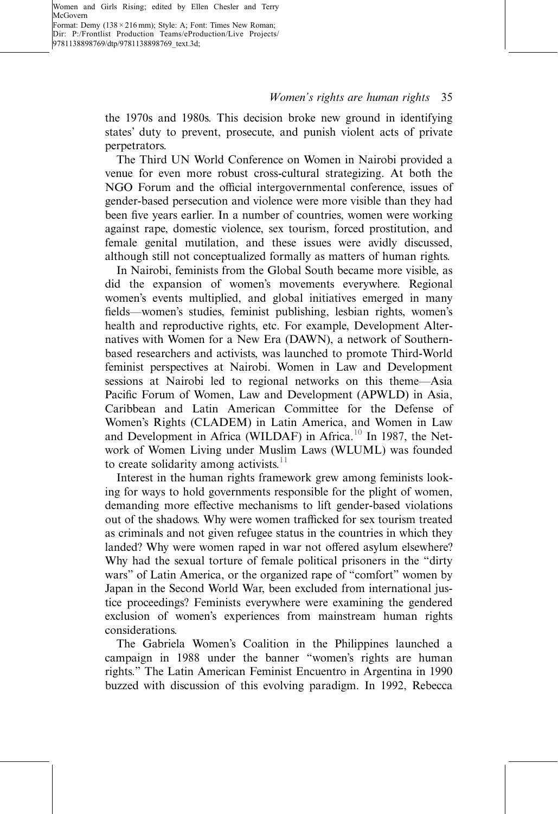<span id="page-3-0"></span>Format: Demy (138 × 216 mm); Style: A; Font: Times New Roman; Dir: P:/Frontlist Production Teams/eProduction/Live Projects/ 9781138898769/dtp/9781138898769\_text.3d;

#### Women's rights are human rights 35

the 1970s and 1980s. This decision broke new ground in identifying states' duty to prevent, prosecute, and punish violent acts of private perpetrators.

The Third UN World Conference on Women in Nairobi provided a venue for even more robust cross-cultural strategizing. At both the NGO Forum and the official intergovernmental conference, issues of gender-based persecution and violence were more visible than they had been five years earlier. In a number of countries, women were working against rape, domestic violence, sex tourism, forced prostitution, and female genital mutilation, and these issues were avidly discussed, although still not conceptualized formally as matters of human rights.

In Nairobi, feminists from the Global South became more visible, as did the expansion of women's movements everywhere. Regional women's events multiplied, and global initiatives emerged in many fields—women's studies, feminist publishing, lesbian rights, women's health and reproductive rights, etc. For example, Development Alternatives with Women for a New Era (DAWN), a network of Southernbased researchers and activists, was launched to promote Third-World feminist perspectives at Nairobi. Women in Law and Development sessions at Nairobi led to regional networks on this theme—Asia Pacific Forum of Women, Law and Development (APWLD) in Asia, Caribbean and Latin American Committee for the Defense of Women's Rights (CLADEM) in Latin America, and Women in Law and Development in Africa (WILDAF) in Africa.<sup>[10](#page-16-0)</sup> In 1987, the Network of Women Living under Muslim Laws (WLUML) was founded to create solidarity among activists.<sup>11</sup>

Interest in the human rights framework grew among feminists looking for ways to hold governments responsible for the plight of women, demanding more effective mechanisms to lift gender-based violations out of the shadows. Why were women trafficked for sex tourism treated as criminals and not given refugee status in the countries in which they landed? Why were women raped in war not offered asylum elsewhere? Why had the sexual torture of female political prisoners in the "dirty wars" of Latin America, or the organized rape of "comfort" women by Japan in the Second World War, been excluded from international justice proceedings? Feminists everywhere were examining the gendered exclusion of women's experiences from mainstream human rights considerations.

The Gabriela Women's Coalition in the Philippines launched a campaign in 1988 under the banner "women's rights are human rights." The Latin American Feminist Encuentro in Argentina in 1990 buzzed with discussion of this evolving paradigm. In 1992, Rebecca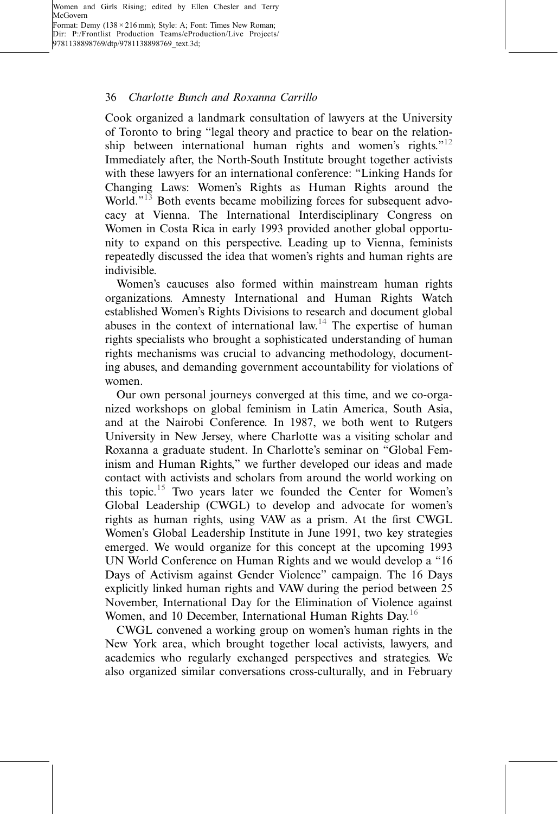<span id="page-4-0"></span>Format: Demy (138 × 216 mm); Style: A; Font: Times New Roman; Dir: P:/Frontlist Production Teams/eProduction/Live Projects/ 9781138898769/dtp/9781138898769\_text.3d;

# 36 Charlotte Bunch and Roxanna Carrillo

Cook organized a landmark consultation of lawyers at the University of Toronto to bring "legal theory and practice to bear on the relation-ship between international human rights and women's rights."<sup>[12](#page-16-0)</sup> Immediately after, the North-South Institute brought together activists with these lawyers for an international conference: "Linking Hands for Changing Laws: Women's Rights as Human Rights around the World."<sup>[13](#page-17-0)</sup> Both events became mobilizing forces for subsequent advocacy at Vienna. The International Interdisciplinary Congress on Women in Costa Rica in early 1993 provided another global opportunity to expand on this perspective. Leading up to Vienna, feminists repeatedly discussed the idea that women's rights and human rights are indivisible.

Women's caucuses also formed within mainstream human rights organizations. Amnesty International and Human Rights Watch established Women's Rights Divisions to research and document global abuses in the context of international law.[14](#page-17-0) The expertise of human rights specialists who brought a sophisticated understanding of human rights mechanisms was crucial to advancing methodology, documenting abuses, and demanding government accountability for violations of women.

Our own personal journeys converged at this time, and we co-organized workshops on global feminism in Latin America, South Asia, and at the Nairobi Conference. In 1987, we both went to Rutgers University in New Jersey, where Charlotte was a visiting scholar and Roxanna a graduate student. In Charlotte's seminar on "Global Feminism and Human Rights," we further developed our ideas and made contact with activists and scholars from around the world working on this topic.[15](#page-17-0) Two years later we founded the Center for Women's Global Leadership (CWGL) to develop and advocate for women's rights as human rights, using VAW as a prism. At the first CWGL Women's Global Leadership Institute in June 1991, two key strategies emerged. We would organize for this concept at the upcoming 1993 UN World Conference on Human Rights and we would develop a "16 Days of Activism against Gender Violence" campaign. The 16 Days explicitly linked human rights and VAW during the period between 25 November, International Day for the Elimination of Violence against Women, and 10 December, International Human Rights Day.<sup>[16](#page-17-0)</sup>

CWGL convened a working group on women's human rights in the New York area, which brought together local activists, lawyers, and academics who regularly exchanged perspectives and strategies. We also organized similar conversations cross-culturally, and in February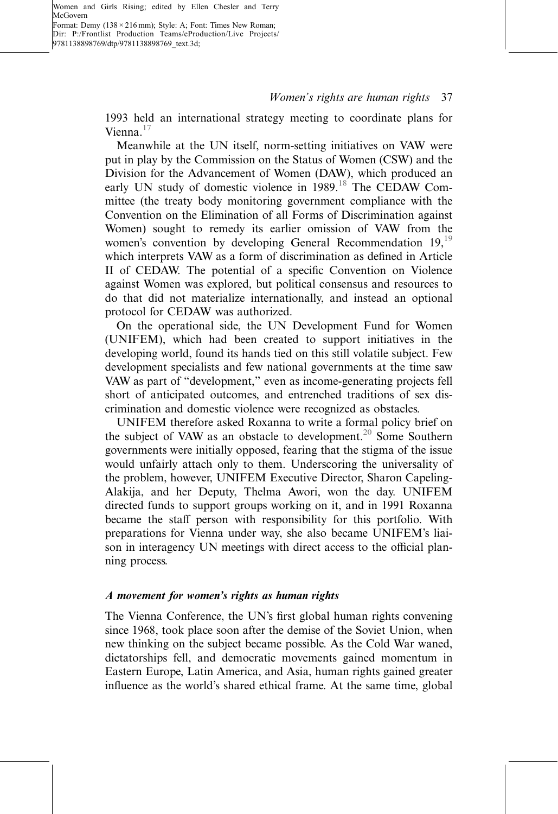<span id="page-5-0"></span>Format: Demy (138 × 216 mm); Style: A; Font: Times New Roman; Dir: P:/Frontlist Production Teams/eProduction/Live Projects/ 9781138898769/dtp/9781138898769\_text.3d;

# Women's rights are human rights 37

1993 held an international strategy meeting to coordinate plans for Vienna. $17$ 

Meanwhile at the UN itself, norm-setting initiatives on VAW were put in play by the Commission on the Status of Women (CSW) and the Division for the Advancement of Women (DAW), which produced an early UN study of domestic violence in 1989.<sup>[18](#page-17-0)</sup> The CEDAW Committee (the treaty body monitoring government compliance with the Convention on the Elimination of all Forms of Discrimination against Women) sought to remedy its earlier omission of VAW from the women's convention by developing General Recommendation [19](#page-17-0),<sup>19</sup> which interprets VAW as a form of discrimination as defined in Article II of CEDAW. The potential of a specific Convention on Violence against Women was explored, but political consensus and resources to do that did not materialize internationally, and instead an optional protocol for CEDAW was authorized.

On the operational side, the UN Development Fund for Women (UNIFEM), which had been created to support initiatives in the developing world, found its hands tied on this still volatile subject. Few development specialists and few national governments at the time saw VAW as part of "development," even as income-generating projects fell short of anticipated outcomes, and entrenched traditions of sex discrimination and domestic violence were recognized as obstacles.

UNIFEM therefore asked Roxanna to write a formal policy brief on the subject of VAW as an obstacle to development.<sup>[20](#page-17-0)</sup> Some Southern governments were initially opposed, fearing that the stigma of the issue would unfairly attach only to them. Underscoring the universality of the problem, however, UNIFEM Executive Director, Sharon Capeling-Alakija, and her Deputy, Thelma Awori, won the day. UNIFEM directed funds to support groups working on it, and in 1991 Roxanna became the staff person with responsibility for this portfolio. With preparations for Vienna under way, she also became UNIFEM's liaison in interagency UN meetings with direct access to the official planning process.

# A movement for women's rights as human rights

The Vienna Conference, the UN's first global human rights convening since 1968, took place soon after the demise of the Soviet Union, when new thinking on the subject became possible. As the Cold War waned, dictatorships fell, and democratic movements gained momentum in Eastern Europe, Latin America, and Asia, human rights gained greater influence as the world's shared ethical frame. At the same time, global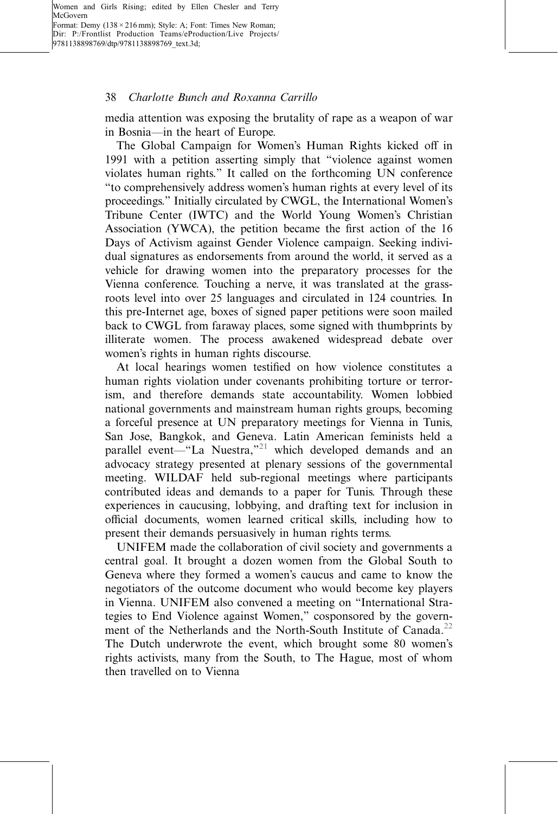<span id="page-6-0"></span>Format: Demy (138 × 216 mm); Style: A; Font: Times New Roman; Dir: P:/Frontlist Production Teams/eProduction/Live Projects/ 9781138898769/dtp/9781138898769\_text.3d;

# 38 Charlotte Bunch and Roxanna Carrillo

media attention was exposing the brutality of rape as a weapon of war in Bosnia—in the heart of Europe.

The Global Campaign for Women's Human Rights kicked off in 1991 with a petition asserting simply that "violence against women violates human rights." It called on the forthcoming UN conference "to comprehensively address women's human rights at every level of its proceedings." Initially circulated by CWGL, the International Women's Tribune Center (IWTC) and the World Young Women's Christian Association (YWCA), the petition became the first action of the 16 Days of Activism against Gender Violence campaign. Seeking individual signatures as endorsements from around the world, it served as a vehicle for drawing women into the preparatory processes for the Vienna conference. Touching a nerve, it was translated at the grassroots level into over 25 languages and circulated in 124 countries. In this pre-Internet age, boxes of signed paper petitions were soon mailed back to CWGL from faraway places, some signed with thumbprints by illiterate women. The process awakened widespread debate over women's rights in human rights discourse.

At local hearings women testified on how violence constitutes a human rights violation under covenants prohibiting torture or terrorism, and therefore demands state accountability. Women lobbied national governments and mainstream human rights groups, becoming a forceful presence at UN preparatory meetings for Vienna in Tunis, San Jose, Bangkok, and Geneva. Latin American feminists held a parallel event—"La Nuestra,"[21](#page-17-0) which developed demands and an advocacy strategy presented at plenary sessions of the governmental meeting. WILDAF held sub-regional meetings where participants contributed ideas and demands to a paper for Tunis. Through these experiences in caucusing, lobbying, and drafting text for inclusion in official documents, women learned critical skills, including how to present their demands persuasively in human rights terms.

UNIFEM made the collaboration of civil society and governments a central goal. It brought a dozen women from the Global South to Geneva where they formed a women's caucus and came to know the negotiators of the outcome document who would become key players in Vienna. UNIFEM also convened a meeting on "International Strategies to End Violence against Women," cosponsored by the govern-ment of the Netherlands and the North-South Institute of Canada.<sup>[22](#page-17-0)</sup> The Dutch underwrote the event, which brought some 80 women's rights activists, many from the South, to The Hague, most of whom then travelled on to Vienna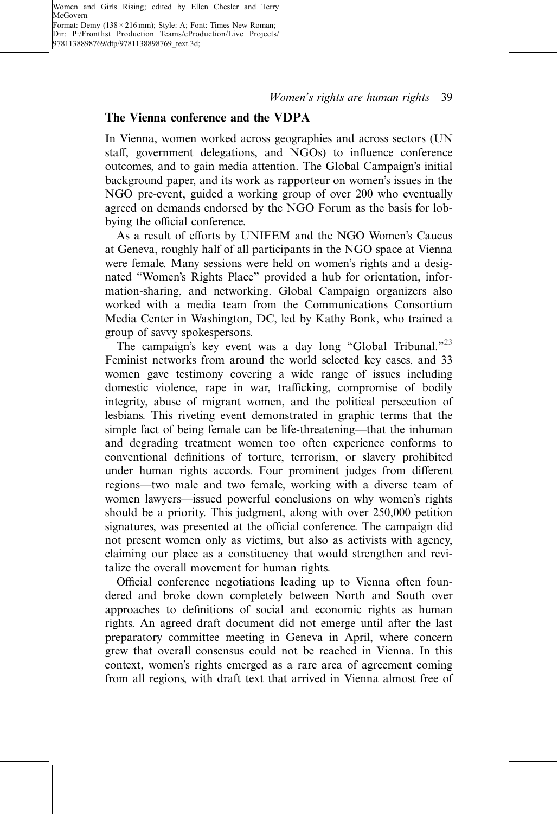<span id="page-7-0"></span>Format: Demy (138 × 216 mm); Style: A; Font: Times New Roman; Dir: P:/Frontlist Production Teams/eProduction/Live Projects/ 9781138898769/dtp/9781138898769\_text.3d;

# The Vienna conference and the VDPA

In Vienna, women worked across geographies and across sectors (UN staff, government delegations, and NGOs) to influence conference outcomes, and to gain media attention. The Global Campaign's initial background paper, and its work as rapporteur on women's issues in the NGO pre-event, guided a working group of over 200 who eventually agreed on demands endorsed by the NGO Forum as the basis for lobbying the official conference.

As a result of efforts by UNIFEM and the NGO Women's Caucus at Geneva, roughly half of all participants in the NGO space at Vienna were female. Many sessions were held on women's rights and a designated "Women's Rights Place" provided a hub for orientation, information-sharing, and networking. Global Campaign organizers also worked with a media team from the Communications Consortium Media Center in Washington, DC, led by Kathy Bonk, who trained a group of savvy spokespersons.

The campaign's key event was a day long "Global Tribunal."<sup>[23](#page-17-0)</sup> Feminist networks from around the world selected key cases, and 33 women gave testimony covering a wide range of issues including domestic violence, rape in war, trafficking, compromise of bodily integrity, abuse of migrant women, and the political persecution of lesbians. This riveting event demonstrated in graphic terms that the simple fact of being female can be life-threatening—that the inhuman and degrading treatment women too often experience conforms to conventional definitions of torture, terrorism, or slavery prohibited under human rights accords. Four prominent judges from different regions—two male and two female, working with a diverse team of women lawyers—issued powerful conclusions on why women's rights should be a priority. This judgment, along with over 250,000 petition signatures, was presented at the official conference. The campaign did not present women only as victims, but also as activists with agency, claiming our place as a constituency that would strengthen and revitalize the overall movement for human rights.

Official conference negotiations leading up to Vienna often foundered and broke down completely between North and South over approaches to definitions of social and economic rights as human rights. An agreed draft document did not emerge until after the last preparatory committee meeting in Geneva in April, where concern grew that overall consensus could not be reached in Vienna. In this context, women's rights emerged as a rare area of agreement coming from all regions, with draft text that arrived in Vienna almost free of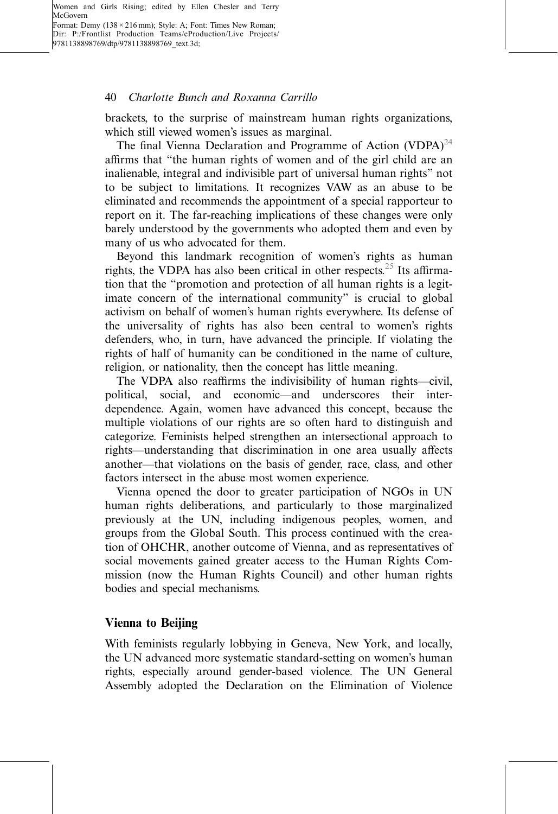<span id="page-8-0"></span>Format: Demy (138 × 216 mm); Style: A; Font: Times New Roman; Dir: P:/Frontlist Production Teams/eProduction/Live Projects/ 9781138898769/dtp/9781138898769\_text.3d;

# 40 Charlotte Bunch and Roxanna Carrillo

brackets, to the surprise of mainstream human rights organizations, which still viewed women's issues as marginal.

The final Vienna Declaration and Programme of Action (VDPA)<sup>[24](#page-17-0)</sup> affirms that "the human rights of women and of the girl child are an inalienable, integral and indivisible part of universal human rights" not to be subject to limitations. It recognizes VAW as an abuse to be eliminated and recommends the appointment of a special rapporteur to report on it. The far-reaching implications of these changes were only barely understood by the governments who adopted them and even by many of us who advocated for them.

Beyond this landmark recognition of women's rights as human rights, the VDPA has also been critical in other respects.<sup>[25](#page-17-0)</sup> Its affirmation that the "promotion and protection of all human rights is a legitimate concern of the international community" is crucial to global activism on behalf of women's human rights everywhere. Its defense of the universality of rights has also been central to women's rights defenders, who, in turn, have advanced the principle. If violating the rights of half of humanity can be conditioned in the name of culture, religion, or nationality, then the concept has little meaning.

The VDPA also reaffirms the indivisibility of human rights—civil, political, social, and economic—and underscores their interdependence. Again, women have advanced this concept, because the multiple violations of our rights are so often hard to distinguish and categorize. Feminists helped strengthen an intersectional approach to rights—understanding that discrimination in one area usually affects another—that violations on the basis of gender, race, class, and other factors intersect in the abuse most women experience.

Vienna opened the door to greater participation of NGOs in UN human rights deliberations, and particularly to those marginalized previously at the UN, including indigenous peoples, women, and groups from the Global South. This process continued with the creation of OHCHR, another outcome of Vienna, and as representatives of social movements gained greater access to the Human Rights Commission (now the Human Rights Council) and other human rights bodies and special mechanisms.

# Vienna to Beijing

With feminists regularly lobbying in Geneva, New York, and locally, the UN advanced more systematic standard-setting on women's human rights, especially around gender-based violence. The UN General Assembly adopted the Declaration on the Elimination of Violence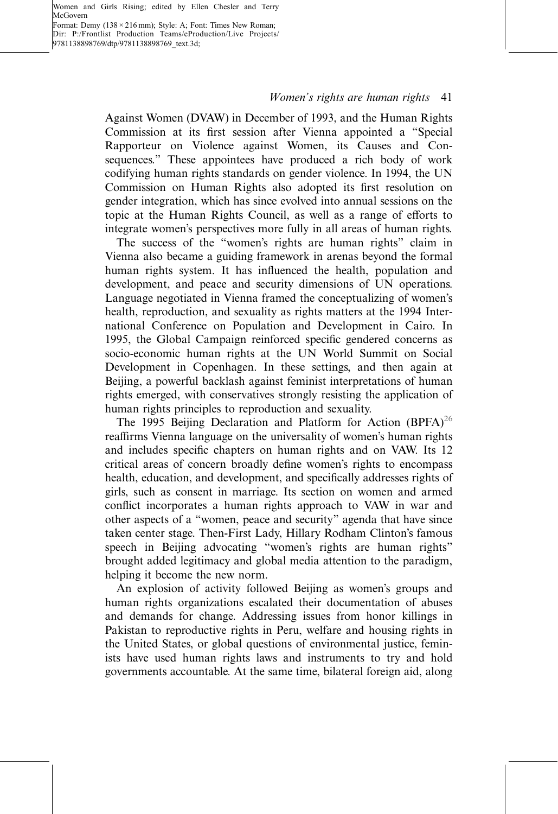<span id="page-9-0"></span>Format: Demy (138 × 216 mm); Style: A; Font: Times New Roman; Dir: P:/Frontlist Production Teams/eProduction/Live Projects/ 9781138898769/dtp/9781138898769\_text.3d;

## Women's rights are human rights 41

Against Women (DVAW) in December of 1993, and the Human Rights Commission at its first session after Vienna appointed a "Special Rapporteur on Violence against Women, its Causes and Consequences." These appointees have produced a rich body of work codifying human rights standards on gender violence. In 1994, the UN Commission on Human Rights also adopted its first resolution on gender integration, which has since evolved into annual sessions on the topic at the Human Rights Council, as well as a range of efforts to integrate women's perspectives more fully in all areas of human rights.

The success of the "women's rights are human rights" claim in Vienna also became a guiding framework in arenas beyond the formal human rights system. It has influenced the health, population and development, and peace and security dimensions of UN operations. Language negotiated in Vienna framed the conceptualizing of women's health, reproduction, and sexuality as rights matters at the 1994 International Conference on Population and Development in Cairo. In 1995, the Global Campaign reinforced specific gendered concerns as socio-economic human rights at the UN World Summit on Social Development in Copenhagen. In these settings, and then again at Beijing, a powerful backlash against feminist interpretations of human rights emerged, with conservatives strongly resisting the application of human rights principles to reproduction and sexuality.

The 1995 Beijing Declaration and Platform for Action  $(BPFA)^{26}$  $(BPFA)^{26}$  $(BPFA)^{26}$ reaffirms Vienna language on the universality of women's human rights and includes specific chapters on human rights and on VAW. Its 12 critical areas of concern broadly define women's rights to encompass health, education, and development, and specifically addresses rights of girls, such as consent in marriage. Its section on women and armed conflict incorporates a human rights approach to VAW in war and other aspects of a "women, peace and security" agenda that have since taken center stage. Then-First Lady, Hillary Rodham Clinton's famous speech in Beijing advocating "women's rights are human rights" brought added legitimacy and global media attention to the paradigm, helping it become the new norm.

An explosion of activity followed Beijing as women's groups and human rights organizations escalated their documentation of abuses and demands for change. Addressing issues from honor killings in Pakistan to reproductive rights in Peru, welfare and housing rights in the United States, or global questions of environmental justice, feminists have used human rights laws and instruments to try and hold governments accountable. At the same time, bilateral foreign aid, along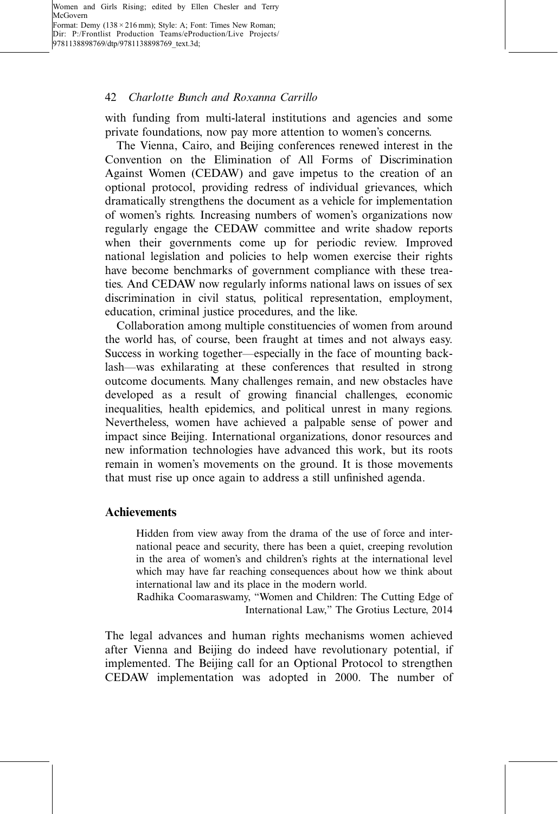Format: Demy (138 × 216 mm); Style: A; Font: Times New Roman; Dir: P:/Frontlist Production Teams/eProduction/Live Projects/ 9781138898769/dtp/9781138898769\_text.3d;

# 42 Charlotte Bunch and Roxanna Carrillo

with funding from multi-lateral institutions and agencies and some private foundations, now pay more attention to women's concerns.

The Vienna, Cairo, and Beijing conferences renewed interest in the Convention on the Elimination of All Forms of Discrimination Against Women (CEDAW) and gave impetus to the creation of an optional protocol, providing redress of individual grievances, which dramatically strengthens the document as a vehicle for implementation of women's rights. Increasing numbers of women's organizations now regularly engage the CEDAW committee and write shadow reports when their governments come up for periodic review. Improved national legislation and policies to help women exercise their rights have become benchmarks of government compliance with these treaties. And CEDAW now regularly informs national laws on issues of sex discrimination in civil status, political representation, employment, education, criminal justice procedures, and the like.

Collaboration among multiple constituencies of women from around the world has, of course, been fraught at times and not always easy. Success in working together—especially in the face of mounting backlash—was exhilarating at these conferences that resulted in strong outcome documents. Many challenges remain, and new obstacles have developed as a result of growing financial challenges, economic inequalities, health epidemics, and political unrest in many regions. Nevertheless, women have achieved a palpable sense of power and impact since Beijing. International organizations, donor resources and new information technologies have advanced this work, but its roots remain in women's movements on the ground. It is those movements that must rise up once again to address a still unfinished agenda.

#### **Achievements**

Hidden from view away from the drama of the use of force and international peace and security, there has been a quiet, creeping revolution in the area of women's and children's rights at the international level which may have far reaching consequences about how we think about international law and its place in the modern world.

Radhika Coomaraswamy, "Women and Children: The Cutting Edge of International Law," The Grotius Lecture, 2014

The legal advances and human rights mechanisms women achieved after Vienna and Beijing do indeed have revolutionary potential, if implemented. The Beijing call for an Optional Protocol to strengthen CEDAW implementation was adopted in 2000. The number of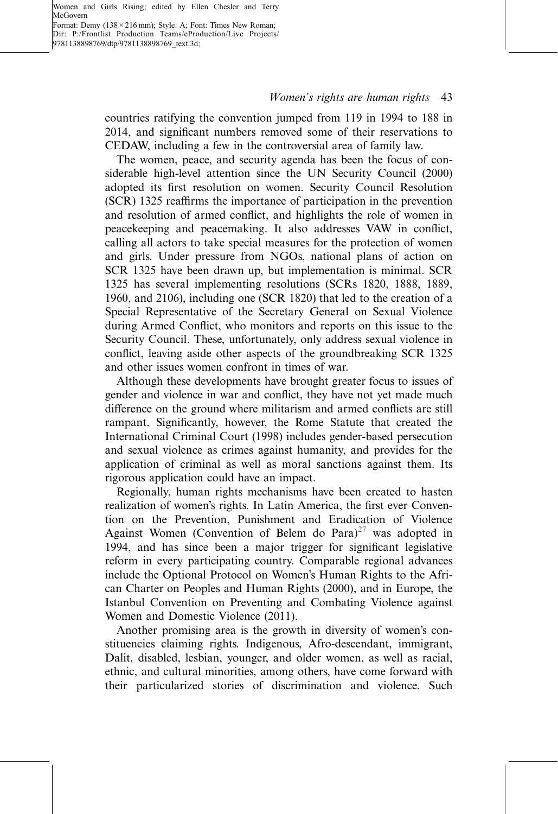<span id="page-11-0"></span>Format: Demy (138 × 216 mm); Style: A; Font: Times New Roman; Dir: P:/Frontlist Production Teams/eProduction/Live Projects/ 9781138898769/dtp/9781138898769\_text.3d;

# Women's rights are human rights 43

countries ratifying the convention jumped from 119 in 1994 to 188 in 2014, and significant numbers removed some of their reservations to CEDAW, including a few in the controversial area of family law.

The women, peace, and security agenda has been the focus of considerable high-level attention since the UN Security Council (2000) adopted its first resolution on women. Security Council Resolution (SCR) 1325 reaffirms the importance of participation in the prevention and resolution of armed conflict, and highlights the role of women in peacekeeping and peacemaking. It also addresses VAW in conflict, calling all actors to take special measures for the protection of women and girls. Under pressure from NGOs, national plans of action on SCR 1325 have been drawn up, but implementation is minimal. SCR 1325 has several implementing resolutions (SCRs 1820, 1888, 1889, 1960, and 2106), including one (SCR 1820) that led to the creation of a Special Representative of the Secretary General on Sexual Violence during Armed Conflict, who monitors and reports on this issue to the Security Council. These, unfortunately, only address sexual violence in conflict, leaving aside other aspects of the groundbreaking SCR 1325 and other issues women confront in times of war.

Although these developments have brought greater focus to issues of gender and violence in war and conflict, they have not yet made much difference on the ground where militarism and armed conflicts are still rampant. Significantly, however, the Rome Statute that created the International Criminal Court (1998) includes gender-based persecution and sexual violence as crimes against humanity, and provides for the application of criminal as well as moral sanctions against them. Its rigorous application could have an impact.

Regionally, human rights mechanisms have been created to hasten realization of women's rights. In Latin America, the first ever Convention on the Prevention, Punishment and Eradication of Violence Against Women (Convention of Belem do Para)<sup>27</sup> was adopted in 1994, and has since been a major trigger for significant legislative reform in every participating country. Comparable regional advances include the Optional Protocol on Women's Human Rights to the African Charter on Peoples and Human Rights (2000), and in Europe, the Istanbul Convention on Preventing and Combating Violence against Women and Domestic Violence (2011).

Another promising area is the growth in diversity of women's constituencies claiming rights. Indigenous, Afro-descendant, immigrant, Dalit, disabled, lesbian, younger, and older women, as well as racial, ethnic, and cultural minorities, among others, have come forward with their particularized stories of discrimination and violence. Such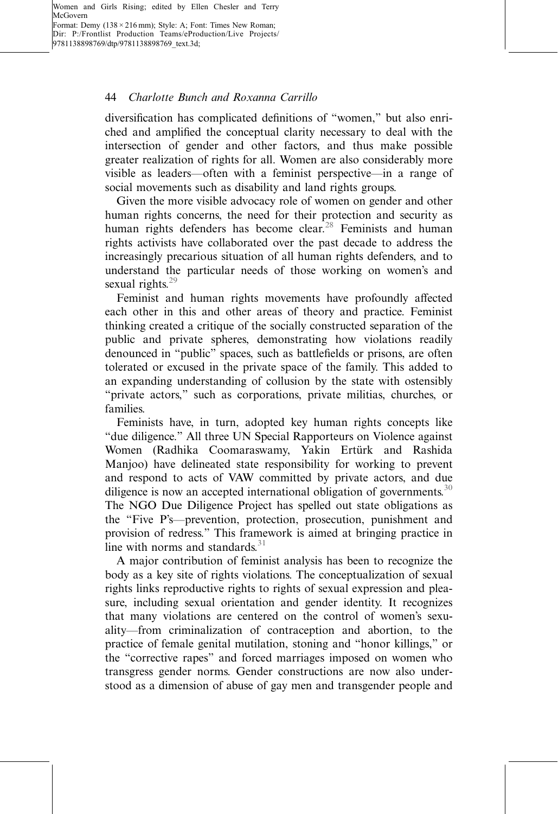<span id="page-12-0"></span>Format: Demy (138 × 216 mm); Style: A; Font: Times New Roman; Dir: P:/Frontlist Production Teams/eProduction/Live Projects/ 9781138898769/dtp/9781138898769\_text.3d;

# 44 Charlotte Bunch and Roxanna Carrillo

diversification has complicated definitions of "women," but also enriched and amplified the conceptual clarity necessary to deal with the intersection of gender and other factors, and thus make possible greater realization of rights for all. Women are also considerably more visible as leaders—often with a feminist perspective—in a range of social movements such as disability and land rights groups.

Given the more visible advocacy role of women on gender and other human rights concerns, the need for their protection and security as human rights defenders has become clear.<sup>[28](#page-17-0)</sup> Feminists and human rights activists have collaborated over the past decade to address the increasingly precarious situation of all human rights defenders, and to understand the particular needs of those working on women's and sexual rights. $^{29}$  $^{29}$  $^{29}$ 

Feminist and human rights movements have profoundly affected each other in this and other areas of theory and practice. Feminist thinking created a critique of the socially constructed separation of the public and private spheres, demonstrating how violations readily denounced in "public" spaces, such as battlefields or prisons, are often tolerated or excused in the private space of the family. This added to an expanding understanding of collusion by the state with ostensibly "private actors," such as corporations, private militias, churches, or families.

Feminists have, in turn, adopted key human rights concepts like "due diligence." All three UN Special Rapporteurs on Violence against Women (Radhika Coomaraswamy, Yakin Ertürk and Rashida Manjoo) have delineated state responsibility for working to prevent and respond to acts of VAW committed by private actors, and due diligence is now an accepted international obligation of governments.<sup>[30](#page-18-0)</sup> The NGO Due Diligence Project has spelled out state obligations as the "Five P's—prevention, protection, prosecution, punishment and provision of redress." This framework is aimed at bringing practice in line with norms and standards. $31$ 

A major contribution of feminist analysis has been to recognize the body as a key site of rights violations. The conceptualization of sexual rights links reproductive rights to rights of sexual expression and pleasure, including sexual orientation and gender identity. It recognizes that many violations are centered on the control of women's sexuality—from criminalization of contraception and abortion, to the practice of female genital mutilation, stoning and "honor killings," or the "corrective rapes" and forced marriages imposed on women who transgress gender norms. Gender constructions are now also understood as a dimension of abuse of gay men and transgender people and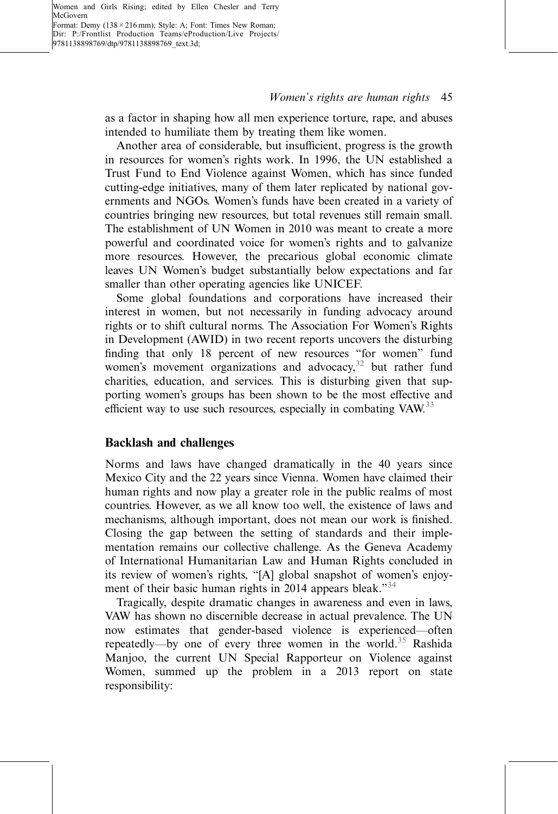<span id="page-13-0"></span>Format: Demy (138 × 216 mm); Style: A; Font: Times New Roman; Dir: P:/Frontlist Production Teams/eProduction/Live Projects/ 9781138898769/dtp/9781138898769\_text.3d;

# Women's rights are human rights 45

as a factor in shaping how all men experience torture, rape, and abuses intended to humiliate them by treating them like women.

Another area of considerable, but insufficient, progress is the growth in resources for women's rights work. In 1996, the UN established a Trust Fund to End Violence against Women, which has since funded cutting-edge initiatives, many of them later replicated by national governments and NGOs. Women's funds have been created in a variety of countries bringing new resources, but total revenues still remain small. The establishment of UN Women in 2010 was meant to create a more powerful and coordinated voice for women's rights and to galvanize more resources. However, the precarious global economic climate leaves UN Women's budget substantially below expectations and far smaller than other operating agencies like UNICEF.

Some global foundations and corporations have increased their interest in women, but not necessarily in funding advocacy around rights or to shift cultural norms. The Association For Women's Rights in Development (AWID) in two recent reports uncovers the disturbing finding that only 18 percent of new resources "for women" fund women's movement organizations and advocacy, $32$  but rather fund charities, education, and services. This is disturbing given that supporting women's groups has been shown to be the most effective and efficient way to use such resources, especially in combating VAW.<sup>[33](#page-18-0)</sup>

# Backlash and challenges

Norms and laws have changed dramatically in the 40 years since Mexico City and the 22 years since Vienna. Women have claimed their human rights and now play a greater role in the public realms of most countries. However, as we all know too well, the existence of laws and mechanisms, although important, does not mean our work is finished. Closing the gap between the setting of standards and their implementation remains our collective challenge. As the Geneva Academy of International Humanitarian Law and Human Rights concluded in its review of women's rights, "[A] global snapshot of women's enjoy-ment of their basic human rights in 2014 appears bleak."<sup>[34](#page-18-0)</sup>

Tragically, despite dramatic changes in awareness and even in laws, VAW has shown no discernible decrease in actual prevalence. The UN now estimates that gender-based violence is experienced—often repeatedly—by one of every three women in the world.<sup>[35](#page-18-0)</sup> Rashida Manjoo, the current UN Special Rapporteur on Violence against Women, summed up the problem in a 2013 report on state responsibility: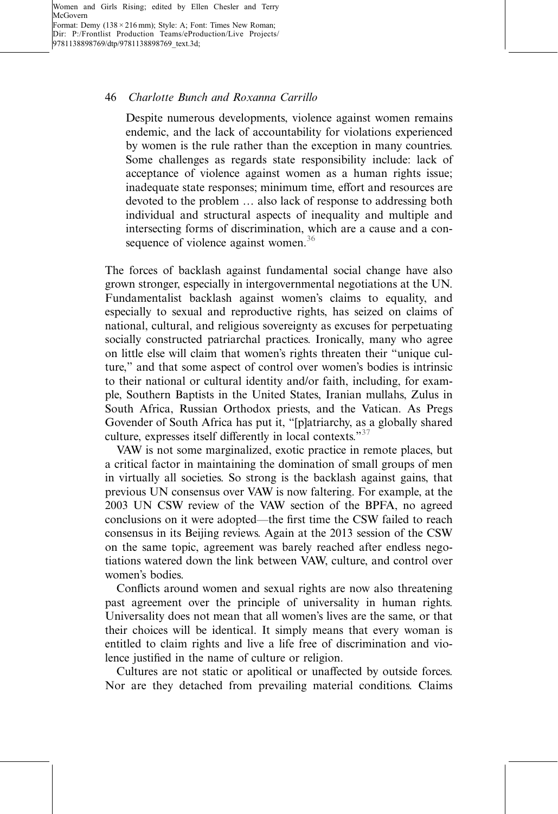<span id="page-14-0"></span>Format: Demy (138 × 216 mm); Style: A; Font: Times New Roman; Dir: P:/Frontlist Production Teams/eProduction/Live Projects/ 9781138898769/dtp/9781138898769\_text.3d;

### 46 Charlotte Bunch and Roxanna Carrillo

Despite numerous developments, violence against women remains endemic, and the lack of accountability for violations experienced by women is the rule rather than the exception in many countries. Some challenges as regards state responsibility include: lack of acceptance of violence against women as a human rights issue; inadequate state responses; minimum time, effort and resources are devoted to the problem … also lack of response to addressing both individual and structural aspects of inequality and multiple and intersecting forms of discrimination, which are a cause and a con-sequence of violence against women.<sup>[36](#page-18-0)</sup>

The forces of backlash against fundamental social change have also grown stronger, especially in intergovernmental negotiations at the UN. Fundamentalist backlash against women's claims to equality, and especially to sexual and reproductive rights, has seized on claims of national, cultural, and religious sovereignty as excuses for perpetuating socially constructed patriarchal practices. Ironically, many who agree on little else will claim that women's rights threaten their "unique culture," and that some aspect of control over women's bodies is intrinsic to their national or cultural identity and/or faith, including, for example, Southern Baptists in the United States, Iranian mullahs, Zulus in South Africa, Russian Orthodox priests, and the Vatican. As Pregs Govender of South Africa has put it, "[p]atriarchy, as a globally shared culture, expresses itself differently in local contexts."[37](#page-18-0)

VAW is not some marginalized, exotic practice in remote places, but a critical factor in maintaining the domination of small groups of men in virtually all societies. So strong is the backlash against gains, that previous UN consensus over VAW is now faltering. For example, at the 2003 UN CSW review of the VAW section of the BPFA, no agreed conclusions on it were adopted—the first time the CSW failed to reach consensus in its Beijing reviews. Again at the 2013 session of the CSW on the same topic, agreement was barely reached after endless negotiations watered down the link between VAW, culture, and control over women's bodies.

Conflicts around women and sexual rights are now also threatening past agreement over the principle of universality in human rights. Universality does not mean that all women's lives are the same, or that their choices will be identical. It simply means that every woman is entitled to claim rights and live a life free of discrimination and violence justified in the name of culture or religion.

Cultures are not static or apolitical or unaffected by outside forces. Nor are they detached from prevailing material conditions. Claims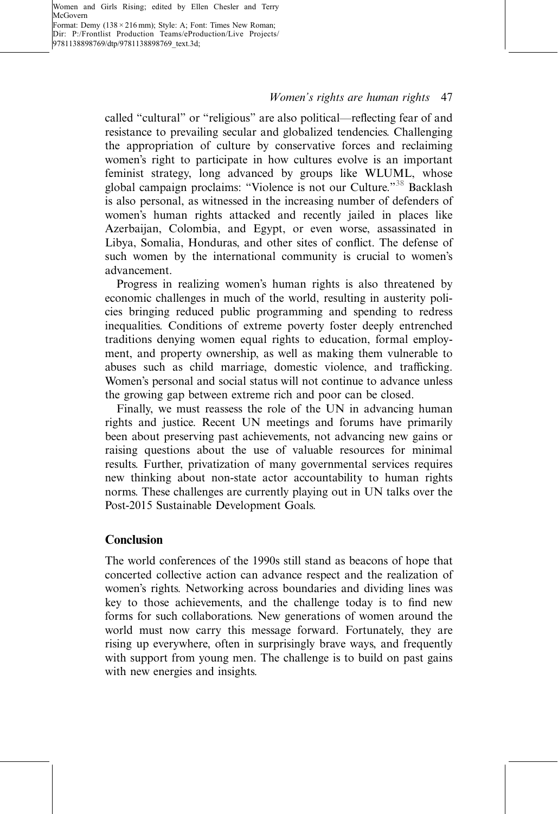<span id="page-15-0"></span>Format: Demy (138 × 216 mm); Style: A; Font: Times New Roman; Dir: P:/Frontlist Production Teams/eProduction/Live Projects/ 9781138898769/dtp/9781138898769\_text.3d;

# Women's rights are human rights 47

called "cultural" or "religious" are also political—reflecting fear of and resistance to prevailing secular and globalized tendencies. Challenging the appropriation of culture by conservative forces and reclaiming women's right to participate in how cultures evolve is an important feminist strategy, long advanced by groups like WLUML, whose global campaign proclaims: "Violence is not our Culture."<sup>[38](#page-18-0)</sup> Backlash is also personal, as witnessed in the increasing number of defenders of women's human rights attacked and recently jailed in places like Azerbaijan, Colombia, and Egypt, or even worse, assassinated in Libya, Somalia, Honduras, and other sites of conflict. The defense of such women by the international community is crucial to women's advancement.

Progress in realizing women's human rights is also threatened by economic challenges in much of the world, resulting in austerity policies bringing reduced public programming and spending to redress inequalities. Conditions of extreme poverty foster deeply entrenched traditions denying women equal rights to education, formal employment, and property ownership, as well as making them vulnerable to abuses such as child marriage, domestic violence, and trafficking. Women's personal and social status will not continue to advance unless the growing gap between extreme rich and poor can be closed.

Finally, we must reassess the role of the UN in advancing human rights and justice. Recent UN meetings and forums have primarily been about preserving past achievements, not advancing new gains or raising questions about the use of valuable resources for minimal results. Further, privatization of many governmental services requires new thinking about non-state actor accountability to human rights norms. These challenges are currently playing out in UN talks over the Post-2015 Sustainable Development Goals.

# Conclusion

The world conferences of the 1990s still stand as beacons of hope that concerted collective action can advance respect and the realization of women's rights. Networking across boundaries and dividing lines was key to those achievements, and the challenge today is to find new forms for such collaborations. New generations of women around the world must now carry this message forward. Fortunately, they are rising up everywhere, often in surprisingly brave ways, and frequently with support from young men. The challenge is to build on past gains with new energies and insights.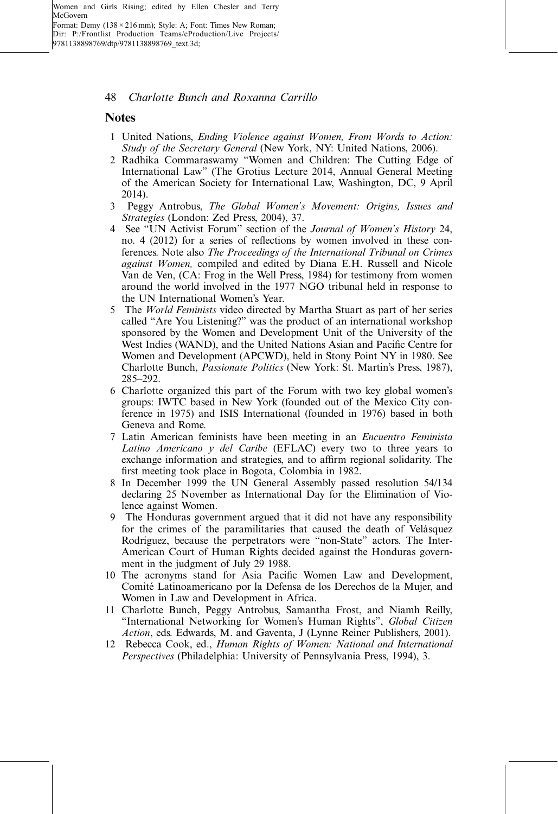<span id="page-16-0"></span>Format: Demy (138 × 216 mm); Style: A; Font: Times New Roman; Dir: P:/Frontlist Production Teams/eProduction/Live Projects/ 9781138898769/dtp/9781138898769\_text.3d;

# 48 Charlotte Bunch and Roxanna Carrillo

# **Notes**

- [1](#page-0-0) United Nations, Ending Violence against Women, From Words to Action: Study of the Secretary General (New York, NY: United Nations, 2006).
- [2](#page-1-0) Radhika Commaraswamy "Women and Children: The Cutting Edge of International Law" (The Grotius Lecture 2014, Annual General Meeting of the American Society for International Law, Washington, DC, 9 April 2014).
- [3](#page-1-0) Peggy Antrobus, The Global Women's Movement: Origins, Issues and Strategies (London: Zed Press, 2004), 37.
- [4](#page-1-0) See "UN Activist Forum" section of the Journal of Women's History 24, no. 4 (2012) for a series of reflections by women involved in these conferences. Note also The Proceedings of the International Tribunal on Crimes against Women, compiled and edited by Diana E.H. Russell and Nicole Van de Ven, (CA: Frog in the Well Press, 1984) for testimony from women around the world involved in the 1977 NGO tribunal held in response to the UN International Women's Year.
- [5](#page-2-0) The World Feminists video directed by Martha Stuart as part of her series called "Are You Listening?" was the product of an international workshop sponsored by the Women and Development Unit of the University of the West Indies (WAND), and the United Nations Asian and Pacific Centre for Women and Development (APCWD), held in Stony Point NY in 1980. See Charlotte Bunch, Passionate Politics (New York: St. Martin's Press, 1987), 285–292.
- [6](#page-2-0) Charlotte organized this part of the Forum with two key global women's groups: IWTC based in New York (founded out of the Mexico City conference in 1975) and ISIS International (founded in 1976) based in both Geneva and Rome.
- [7](#page-2-0) Latin American feminists have been meeting in an Encuentro Feminista Latino Americano y del Caribe (EFLAC) every two to three years to exchange information and strategies, and to affirm regional solidarity. The first meeting took place in Bogota, Colombia in 1982.
- [8](#page-2-0) In December 1999 the UN General Assembly passed resolution 54/134 declaring 25 November as International Day for the Elimination of Violence against Women.
- [9](#page-2-0) The Honduras government argued that it did not have any responsibility for the crimes of the paramilitaries that caused the death of Velásquez Rodríguez, because the perpetrators were "non-State" actors. The Inter-American Court of Human Rights decided against the Honduras government in the judgment of July 29 1988.
- [10](#page-3-0) The acronyms stand for Asia Pacific Women Law and Development, Comité Latinoamericano por la Defensa de los Derechos de la Mujer, and Women in Law and Development in Africa.
- [11](#page-3-0) Charlotte Bunch, Peggy Antrobus, Samantha Frost, and Niamh Reilly, "International Networking for Women's Human Rights", Global Citizen Action, eds. Edwards, M. and Gaventa, J (Lynne Reiner Publishers, 2001).
- [12](#page-4-0) Rebecca Cook, ed., Human Rights of Women: National and International Perspectives (Philadelphia: University of Pennsylvania Press, 1994), 3.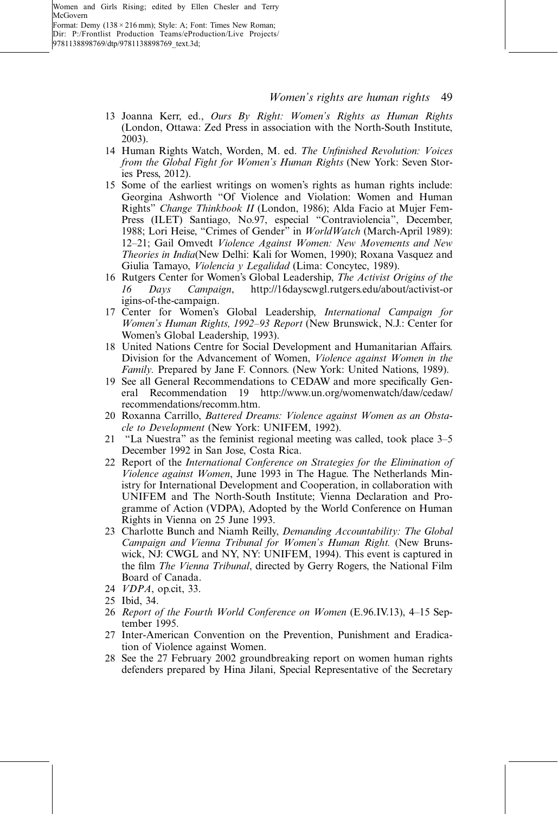<span id="page-17-0"></span>Format: Demy (138 × 216 mm); Style: A; Font: Times New Roman; Dir: P:/Frontlist Production Teams/eProduction/Live Projects/ 9781138898769/dtp/9781138898769\_text.3d;

#### Women's rights are human rights 49

- [13](#page-4-0) Joanna Kerr, ed., Ours By Right: Women's Rights as Human Rights (London, Ottawa: Zed Press in association with the North-South Institute, 2003).
- [14](#page-4-0) Human Rights Watch, Worden, M. ed. The Unfinished Revolution: Voices from the Global Fight for Women's Human Rights (New York: Seven Stories Press, 2012).
- [15](#page-4-0) Some of the earliest writings on women's rights as human rights include: Georgina Ashworth "Of Violence and Violation: Women and Human Rights" Change Thinkbook II (London, 1986); Alda Facio at Mujer Fem-Press (ILET) Santiago, No.97, especial "Contraviolencia", December, 1988; Lori Heise, "Crimes of Gender" in WorldWatch (March-April 1989): 12–21; Gail Omvedt Violence Against Women: New Movements and New Theories in India(New Delhi: Kali for Women, 1990); Roxana Vasquez and Giulia Tamayo, Violencia y Legalidad (Lima: Concytec, 1989).
- [16](#page-4-0) Rutgers Center for Women's Global Leadership, The Activist Origins of the 16 Days Campaign, http://16dayscwgl.rutgers.edu/about/activist-or igins-of-the-campaign.
- [17](#page-5-0) Center for Women's Global Leadership, International Campaign for Women's Human Rights, 1992–93 Report (New Brunswick, N.J.: Center for Women's Global Leadership, 1993).
- [18](#page-5-0) United Nations Centre for Social Development and Humanitarian Affairs. Division for the Advancement of Women, Violence against Women in the Family. Prepared by Jane F. Connors. (New York: United Nations, 1989).
- [19](#page-5-0) See all General Recommendations to CEDAW and more specifically General Recommendation 19 http://www.un.org/womenwatch/daw/cedaw/ recommendations/recomm.htm.
- [20](#page-5-0) Roxanna Carrillo, Battered Dreams: Violence against Women as an Obstacle to Development (New York: UNIFEM, 1992).
- [21](#page-6-0) "La Nuestra" as the feminist regional meeting was called, took place 3–5 December 1992 in San Jose, Costa Rica.
- [22](#page-6-0) Report of the International Conference on Strategies for the Elimination of Violence against Women, June 1993 in The Hague. The Netherlands Ministry for International Development and Cooperation, in collaboration with UNIFEM and The North-South Institute; Vienna Declaration and Programme of Action (VDPA), Adopted by the World Conference on Human Rights in Vienna on 25 June 1993.
- [23](#page-7-0) Charlotte Bunch and Niamh Reilly, Demanding Accountability: The Global Campaign and Vienna Tribunal for Women's Human Right. (New Brunswick, NJ: CWGL and NY, NY: UNIFEM, 1994). This event is captured in the film The Vienna Tribunal, directed by Gerry Rogers, the National Film Board of Canada.
- [24](#page-8-0) VDPA, op.cit, 33.
- [25](#page-8-0) Ibid, 34.
- [26](#page-9-0) Report of the Fourth World Conference on Women (E.96.IV.13), 4–15 September 1995.
- [27](#page-11-0) Inter-American Convention on the Prevention, Punishment and Eradication of Violence against Women.
- [28](#page-12-0) See the 27 February 2002 groundbreaking report on women human rights defenders prepared by Hina Jilani, Special Representative of the Secretary